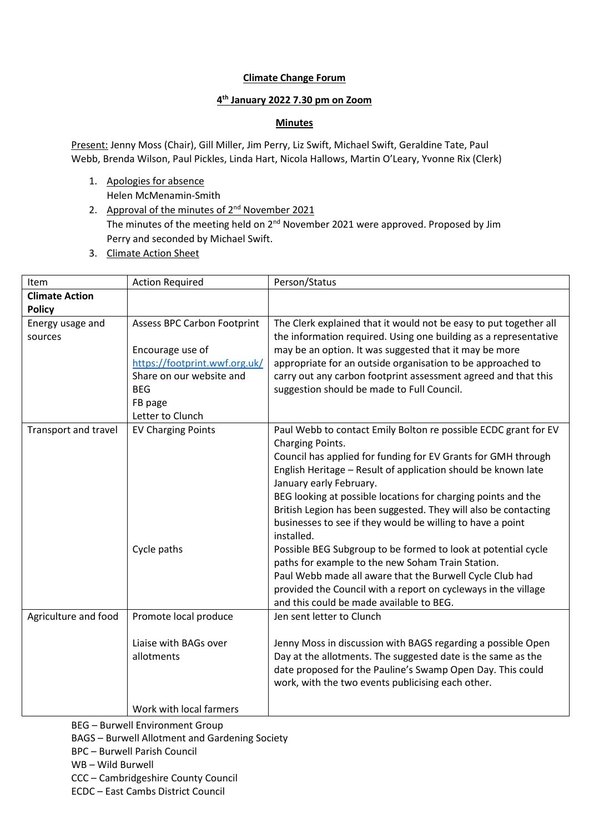## **Climate Change Forum**

## **4 th January 2022 7.30 pm on Zoom**

## **Minutes**

Present: Jenny Moss (Chair), Gill Miller, Jim Perry, Liz Swift, Michael Swift, Geraldine Tate, Paul Webb, Brenda Wilson, Paul Pickles, Linda Hart, Nicola Hallows, Martin O'Leary, Yvonne Rix (Clerk)

- 1. Apologies for absence Helen McMenamin-Smith
- 2. Approval of the minutes of  $2^{nd}$  November 2021 The minutes of the meeting held on  $2^{nd}$  November 2021 were approved. Proposed by Jim Perry and seconded by Michael Swift.
- 3. Climate Action Sheet

| Item                  | <b>Action Required</b>             | Person/Status                                                                                              |
|-----------------------|------------------------------------|------------------------------------------------------------------------------------------------------------|
| <b>Climate Action</b> |                                    |                                                                                                            |
| <b>Policy</b>         |                                    |                                                                                                            |
| Energy usage and      | <b>Assess BPC Carbon Footprint</b> | The Clerk explained that it would not be easy to put together all                                          |
| sources               |                                    | the information required. Using one building as a representative                                           |
|                       | Encourage use of                   | may be an option. It was suggested that it may be more                                                     |
|                       | https://footprint.wwf.org.uk/      | appropriate for an outside organisation to be approached to                                                |
|                       | Share on our website and           | carry out any carbon footprint assessment agreed and that this                                             |
|                       | <b>BEG</b>                         | suggestion should be made to Full Council.                                                                 |
|                       | FB page                            |                                                                                                            |
|                       | Letter to Clunch                   |                                                                                                            |
| Transport and travel  | <b>EV Charging Points</b>          | Paul Webb to contact Emily Bolton re possible ECDC grant for EV                                            |
|                       |                                    | Charging Points.                                                                                           |
|                       |                                    | Council has applied for funding for EV Grants for GMH through                                              |
|                       |                                    | English Heritage - Result of application should be known late                                              |
|                       |                                    | January early February.                                                                                    |
|                       |                                    | BEG looking at possible locations for charging points and the                                              |
|                       |                                    | British Legion has been suggested. They will also be contacting                                            |
|                       |                                    | businesses to see if they would be willing to have a point                                                 |
|                       |                                    | installed.                                                                                                 |
|                       | Cycle paths                        | Possible BEG Subgroup to be formed to look at potential cycle                                              |
|                       |                                    | paths for example to the new Soham Train Station.                                                          |
|                       |                                    | Paul Webb made all aware that the Burwell Cycle Club had                                                   |
|                       |                                    | provided the Council with a report on cycleways in the village<br>and this could be made available to BEG. |
|                       |                                    |                                                                                                            |
| Agriculture and food  | Promote local produce              | Jen sent letter to Clunch                                                                                  |
|                       | Liaise with BAGs over              | Jenny Moss in discussion with BAGS regarding a possible Open                                               |
|                       | allotments                         | Day at the allotments. The suggested date is the same as the                                               |
|                       |                                    | date proposed for the Pauline's Swamp Open Day. This could                                                 |
|                       |                                    | work, with the two events publicising each other.                                                          |
|                       |                                    |                                                                                                            |
|                       | Work with local farmers            |                                                                                                            |

BEG – Burwell Environment Group

BAGS – Burwell Allotment and Gardening Society

BPC – Burwell Parish Council

WB – Wild Burwell

CCC – Cambridgeshire County Council

ECDC – East Cambs District Council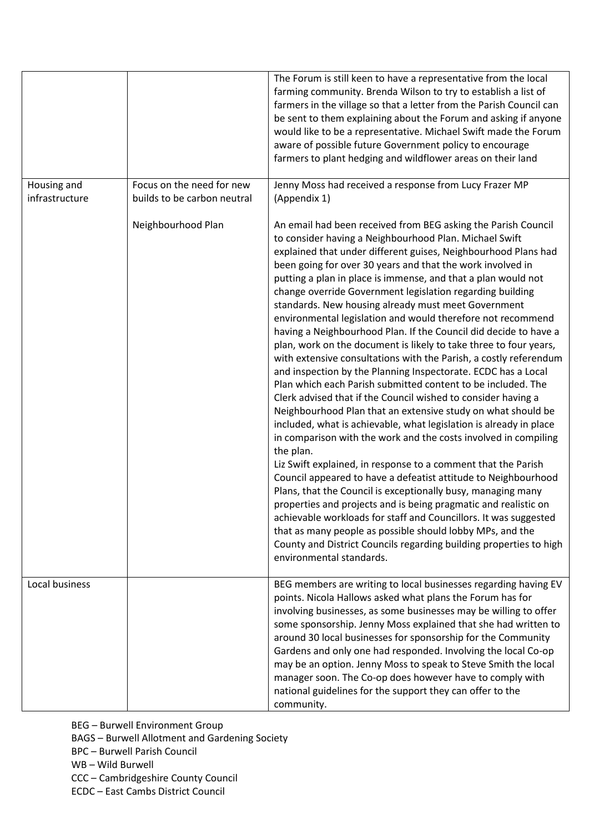|                |                             | The Forum is still keen to have a representative from the local<br>farming community. Brenda Wilson to try to establish a list of<br>farmers in the village so that a letter from the Parish Council can<br>be sent to them explaining about the Forum and asking if anyone<br>would like to be a representative. Michael Swift made the Forum<br>aware of possible future Government policy to encourage<br>farmers to plant hedging and wildflower areas on their land                                                                                                                                                                                                                                                                                                                                                                                                                                                                                                                                                                                                                                                                                                                                                                                                                                                                                                                                                                                                                                                                                                                                                                                   |
|----------------|-----------------------------|------------------------------------------------------------------------------------------------------------------------------------------------------------------------------------------------------------------------------------------------------------------------------------------------------------------------------------------------------------------------------------------------------------------------------------------------------------------------------------------------------------------------------------------------------------------------------------------------------------------------------------------------------------------------------------------------------------------------------------------------------------------------------------------------------------------------------------------------------------------------------------------------------------------------------------------------------------------------------------------------------------------------------------------------------------------------------------------------------------------------------------------------------------------------------------------------------------------------------------------------------------------------------------------------------------------------------------------------------------------------------------------------------------------------------------------------------------------------------------------------------------------------------------------------------------------------------------------------------------------------------------------------------------|
| Housing and    | Focus on the need for new   | Jenny Moss had received a response from Lucy Frazer MP                                                                                                                                                                                                                                                                                                                                                                                                                                                                                                                                                                                                                                                                                                                                                                                                                                                                                                                                                                                                                                                                                                                                                                                                                                                                                                                                                                                                                                                                                                                                                                                                     |
| infrastructure | builds to be carbon neutral | (Appendix 1)                                                                                                                                                                                                                                                                                                                                                                                                                                                                                                                                                                                                                                                                                                                                                                                                                                                                                                                                                                                                                                                                                                                                                                                                                                                                                                                                                                                                                                                                                                                                                                                                                                               |
|                | Neighbourhood Plan          | An email had been received from BEG asking the Parish Council<br>to consider having a Neighbourhood Plan. Michael Swift<br>explained that under different guises, Neighbourhood Plans had<br>been going for over 30 years and that the work involved in<br>putting a plan in place is immense, and that a plan would not<br>change override Government legislation regarding building<br>standards. New housing already must meet Government<br>environmental legislation and would therefore not recommend<br>having a Neighbourhood Plan. If the Council did decide to have a<br>plan, work on the document is likely to take three to four years,<br>with extensive consultations with the Parish, a costly referendum<br>and inspection by the Planning Inspectorate. ECDC has a Local<br>Plan which each Parish submitted content to be included. The<br>Clerk advised that if the Council wished to consider having a<br>Neighbourhood Plan that an extensive study on what should be<br>included, what is achievable, what legislation is already in place<br>in comparison with the work and the costs involved in compiling<br>the plan.<br>Liz Swift explained, in response to a comment that the Parish<br>Council appeared to have a defeatist attitude to Neighbourhood<br>Plans, that the Council is exceptionally busy, managing many<br>properties and projects and is being pragmatic and realistic on<br>achievable workloads for staff and Councillors. It was suggested<br>that as many people as possible should lobby MPs, and the<br>County and District Councils regarding building properties to high<br>environmental standards. |
| Local business |                             | BEG members are writing to local businesses regarding having EV<br>points. Nicola Hallows asked what plans the Forum has for<br>involving businesses, as some businesses may be willing to offer<br>some sponsorship. Jenny Moss explained that she had written to<br>around 30 local businesses for sponsorship for the Community<br>Gardens and only one had responded. Involving the local Co-op<br>may be an option. Jenny Moss to speak to Steve Smith the local<br>manager soon. The Co-op does however have to comply with<br>national guidelines for the support they can offer to the<br>community.                                                                                                                                                                                                                                                                                                                                                                                                                                                                                                                                                                                                                                                                                                                                                                                                                                                                                                                                                                                                                                               |

BEG – Burwell Environment Group BAGS – Burwell Allotment and Gardening Society BPC – Burwell Parish Council WB – Wild Burwell CCC – Cambridgeshire County Council ECDC – East Cambs District Council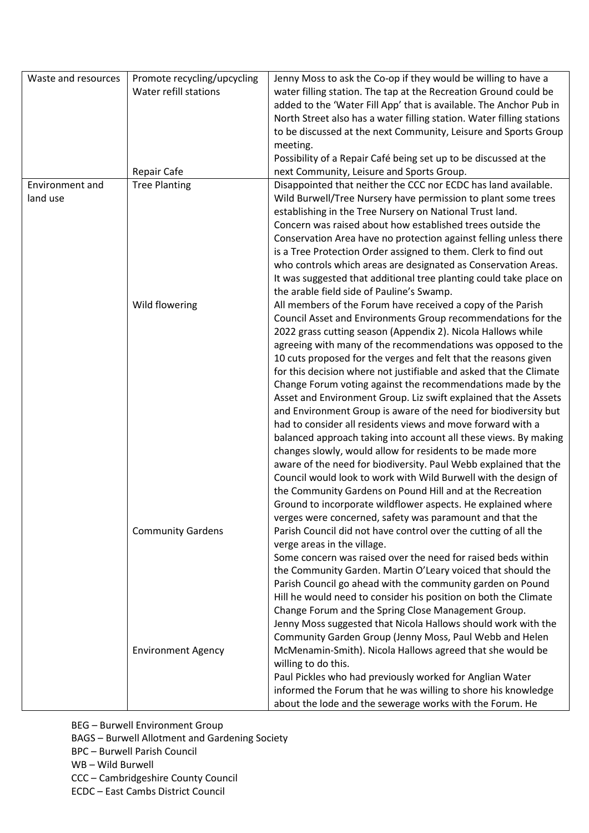| Waste and resources | Promote recycling/upcycling | Jenny Moss to ask the Co-op if they would be willing to have a        |
|---------------------|-----------------------------|-----------------------------------------------------------------------|
|                     | Water refill stations       | water filling station. The tap at the Recreation Ground could be      |
|                     |                             | added to the 'Water Fill App' that is available. The Anchor Pub in    |
|                     |                             | North Street also has a water filling station. Water filling stations |
|                     |                             | to be discussed at the next Community, Leisure and Sports Group       |
|                     |                             | meeting.                                                              |
|                     |                             | Possibility of a Repair Café being set up to be discussed at the      |
|                     | <b>Repair Cafe</b>          | next Community, Leisure and Sports Group.                             |
| Environment and     | <b>Tree Planting</b>        | Disappointed that neither the CCC nor ECDC has land available.        |
|                     |                             |                                                                       |
| land use            |                             | Wild Burwell/Tree Nursery have permission to plant some trees         |
|                     |                             | establishing in the Tree Nursery on National Trust land.              |
|                     |                             | Concern was raised about how established trees outside the            |
|                     |                             | Conservation Area have no protection against felling unless there     |
|                     |                             | is a Tree Protection Order assigned to them. Clerk to find out        |
|                     |                             | who controls which areas are designated as Conservation Areas.        |
|                     |                             | It was suggested that additional tree planting could take place on    |
|                     |                             | the arable field side of Pauline's Swamp.                             |
|                     | Wild flowering              | All members of the Forum have received a copy of the Parish           |
|                     |                             | Council Asset and Environments Group recommendations for the          |
|                     |                             | 2022 grass cutting season (Appendix 2). Nicola Hallows while          |
|                     |                             | agreeing with many of the recommendations was opposed to the          |
|                     |                             | 10 cuts proposed for the verges and felt that the reasons given       |
|                     |                             | for this decision where not justifiable and asked that the Climate    |
|                     |                             | Change Forum voting against the recommendations made by the           |
|                     |                             | Asset and Environment Group. Liz swift explained that the Assets      |
|                     |                             | and Environment Group is aware of the need for biodiversity but       |
|                     |                             | had to consider all residents views and move forward with a           |
|                     |                             | balanced approach taking into account all these views. By making      |
|                     |                             | changes slowly, would allow for residents to be made more             |
|                     |                             | aware of the need for biodiversity. Paul Webb explained that the      |
|                     |                             | Council would look to work with Wild Burwell with the design of       |
|                     |                             | the Community Gardens on Pound Hill and at the Recreation             |
|                     |                             | Ground to incorporate wildflower aspects. He explained where          |
|                     |                             | verges were concerned, safety was paramount and that the              |
|                     | <b>Community Gardens</b>    | Parish Council did not have control over the cutting of all the       |
|                     |                             | verge areas in the village.                                           |
|                     |                             | Some concern was raised over the need for raised beds within          |
|                     |                             | the Community Garden. Martin O'Leary voiced that should the           |
|                     |                             | Parish Council go ahead with the community garden on Pound            |
|                     |                             | Hill he would need to consider his position on both the Climate       |
|                     |                             | Change Forum and the Spring Close Management Group.                   |
|                     |                             | Jenny Moss suggested that Nicola Hallows should work with the         |
|                     |                             | Community Garden Group (Jenny Moss, Paul Webb and Helen               |
|                     | <b>Environment Agency</b>   | McMenamin-Smith). Nicola Hallows agreed that she would be             |
|                     |                             | willing to do this.                                                   |
|                     |                             | Paul Pickles who had previously worked for Anglian Water              |
|                     |                             | informed the Forum that he was willing to shore his knowledge         |
|                     |                             | about the lode and the sewerage works with the Forum. He              |
|                     |                             |                                                                       |

BEG – Burwell Environment Group

BAGS – Burwell Allotment and Gardening Society

BPC – Burwell Parish Council

WB – Wild Burwell

CCC – Cambridgeshire County Council

ECDC – East Cambs District Council